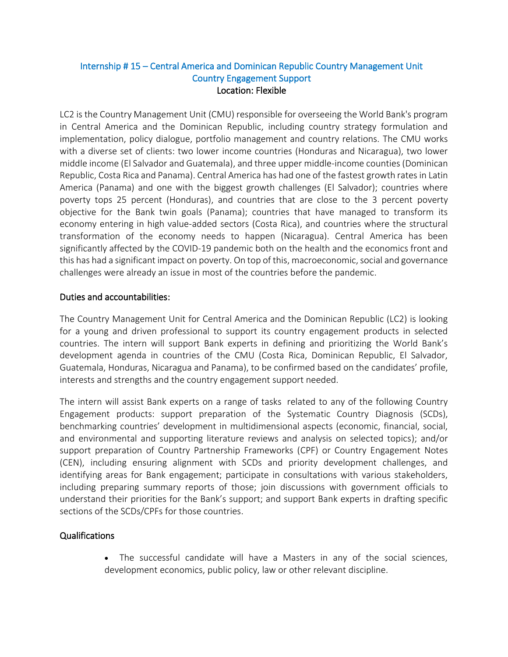## Internship # 15 – Central America and Dominican Republic Country Management Unit Country Engagement Support  Location: Flexible

LC2 is the Country Management Unit (CMU) responsible for overseeing the World Bank's program in Central America and the Dominican Republic, including country strategy formulation and implementation, policy dialogue, portfolio management and country relations. The CMU works with a diverse set of clients: two lower income countries (Honduras and Nicaragua), two lower middle income (El Salvador and Guatemala), and three upper middle-income counties (Dominican Republic, Costa Rica and Panama). Central America has had one of the fastest growth rates in Latin America (Panama) and one with the biggest growth challenges (El Salvador); countries where poverty tops 25 percent (Honduras), and countries that are close to the 3 percent poverty objective for the Bank twin goals (Panama); countries that have managed to transform its economy entering in high value-added sectors (Costa Rica), and countries where the structural transformation of the economy needs to happen (Nicaragua). Central America has been significantly affected by the COVID-19 pandemic both on the health and the economics front and this has had a significant impact on poverty. On top of this, macroeconomic, social and governance challenges were already an issue in most of the countries before the pandemic.

## Duties and accountabilities:

The Country Management Unit for Central America and the Dominican Republic (LC2) is looking for a young and driven professional to support its country engagement products in selected countries. The intern will support Bank experts in defining and prioritizing the World Bank's development agenda in countries of the CMU (Costa Rica, Dominican Republic, El Salvador, Guatemala, Honduras, Nicaragua and Panama), to be confirmed based on the candidates' profile, interests and strengths and the country engagement support needed. 

The intern will assist Bank experts on a range of tasks related to any of the following Country Engagement products: support preparation of the Systematic Country Diagnosis (SCDs), benchmarking countries' development in multidimensional aspects (economic, financial, social, and environmental and supporting literature reviews and analysis on selected topics); and/or support preparation of Country Partnership Frameworks (CPF) or Country Engagement Notes (CEN), including ensuring alignment with SCDs and priority development challenges, and identifying areas for Bank engagement; participate in consultations with various stakeholders, including preparing summary reports of those; join discussions with government officials to understand their priorities for the Bank's support; and support Bank experts in drafting specific sections of the SCDs/CPFs for those countries.

## Qualifications

• The successful candidate will have a Masters in any of the social sciences, development economics, public policy, law or other relevant discipline.